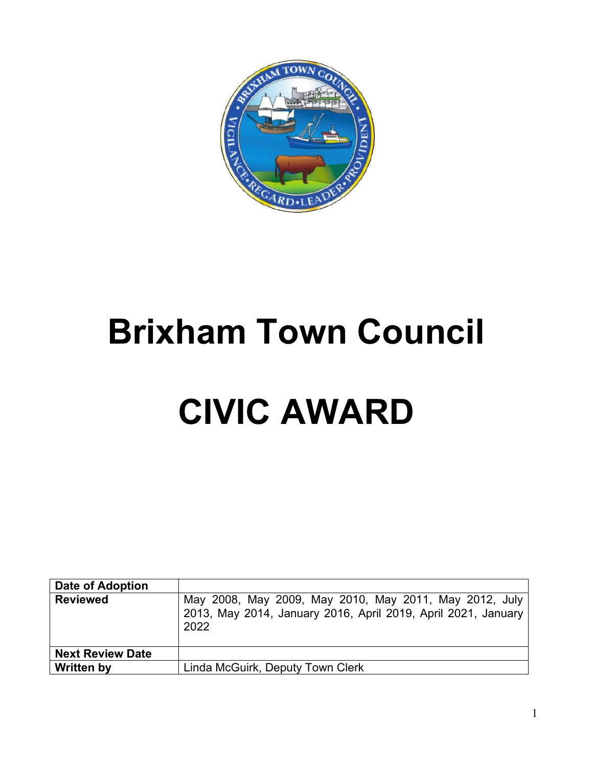

# **Brixham Town Council**

# **CIVIC AWARD**

| Date of Adoption        |                                                                                                                                 |
|-------------------------|---------------------------------------------------------------------------------------------------------------------------------|
| <b>Reviewed</b>         | May 2008, May 2009, May 2010, May 2011, May 2012, July<br>2013, May 2014, January 2016, April 2019, April 2021, January<br>2022 |
| <b>Next Review Date</b> |                                                                                                                                 |
| <b>Written by</b>       | Linda McGuirk, Deputy Town Clerk                                                                                                |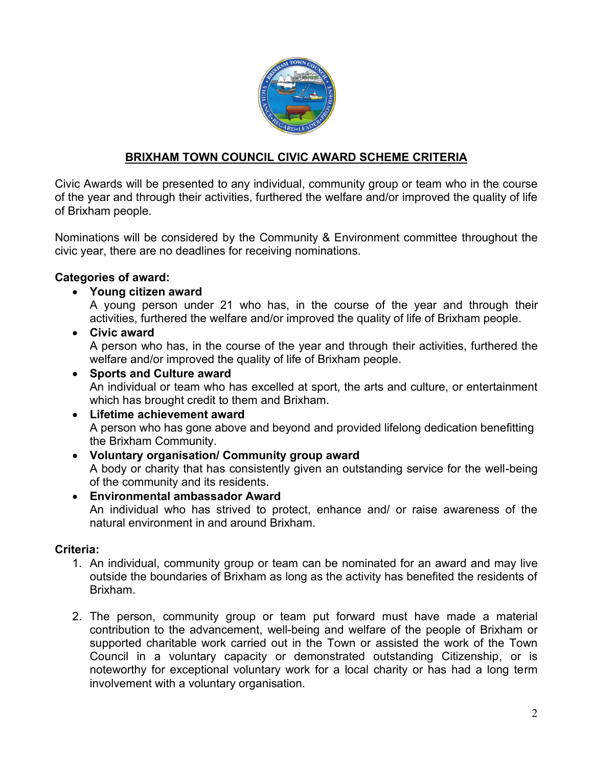

# **BRIXHAM TOWN COUNCIL CIVIC AWARD SCHEME CRITERIA**

Civic Awards will be presented to any individual, community group or team who in the course of the year and through their activities, furthered the welfare and/or improved the quality of life of Brixham people.

Nominations will be considered by the Community & Environment committee throughout the civic year, there are no deadlines for receiving nominations.

#### **Categories of award:**

#### • **Young citizen award**

A young person under 21 who has, in the course of the year and through their activities, furthered the welfare and/or improved the quality of life of Brixham people.

• **Civic award**

A person who has, in the course of the year and through their activities, furthered the welfare and/or improved the quality of life of Brixham people.

# • **Sports and Culture award** An individual or team who has excelled at sport, the arts and culture, or entertainment which has brought credit to them and Brixham.

#### • **Lifetime achievement award** A person who has gone above and beyond and provided lifelong dedication benefitting the Brixham Community.

- **Voluntary organisation/ Community group award** A body or charity that has consistently given an outstanding service for the well-being of the community and its residents.
- **Environmental ambassador Award** An individual who has strived to protect, enhance and/ or raise awareness of the natural environment in and around Brixham.

#### **Criteria:**

- 1. An individual, community group or team can be nominated for an award and may live outside the boundaries of Brixham as long as the activity has benefited the residents of Brixham.
- 2. The person, community group or team put forward must have made a material contribution to the advancement, well-being and welfare of the people of Brixham or supported charitable work carried out in the Town or assisted the work of the Town Council in a voluntary capacity or demonstrated outstanding Citizenship, or is noteworthy for exceptional voluntary work for a local charity or has had a long term involvement with a voluntary organisation.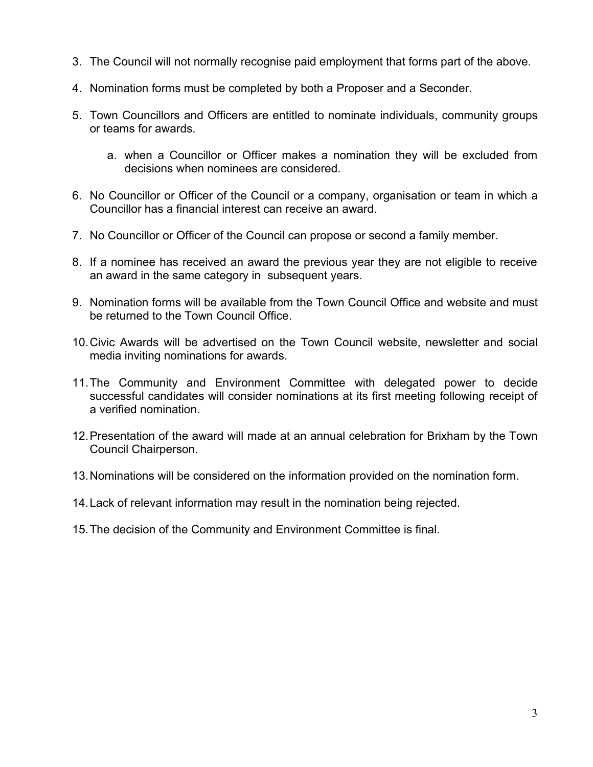- 3. The Council will not normally recognise paid employment that forms part of the above.
- 4. Nomination forms must be completed by both a Proposer and a Seconder.
- 5. Town Councillors and Officers are entitled to nominate individuals, community groups or teams for awards.
	- a. when a Councillor or Officer makes a nomination they will be excluded from decisions when nominees are considered.
- 6. No Councillor or Officer of the Council or a company, organisation or team in which a Councillor has a financial interest can receive an award.
- 7. No Councillor or Officer of the Council can propose or second a family member.
- 8. If a nominee has received an award the previous year they are not eligible to receive an award in the same category in subsequent years.
- 9. Nomination forms will be available from the Town Council Office and website and must be returned to the Town Council Office.
- 10.Civic Awards will be advertised on the Town Council website, newsletter and social media inviting nominations for awards.
- 11.The Community and Environment Committee with delegated power to decide successful candidates will consider nominations at its first meeting following receipt of a verified nomination.
- 12.Presentation of the award will made at an annual celebration for Brixham by the Town Council Chairperson.
- 13.Nominations will be considered on the information provided on the nomination form.
- 14.Lack of relevant information may result in the nomination being rejected.
- 15.The decision of the Community and Environment Committee is final.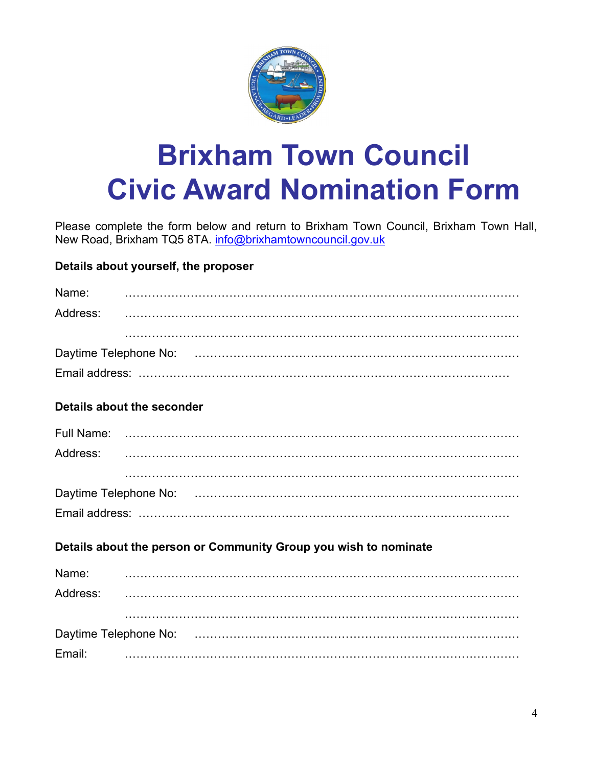

# **Brixham Town Council Civic Award Nomination Form**

Please complete the form below and return to Brixham Town Council, Brixham Town Hall, New Road, Brixham TQ5 8TA. [info@brixhamtowncouncil.gov.uk](mailto:info@brixhamtowncouncil.gov.uk)

# **Details about yourself, the proposer**

| Name: |  |  |  |
|-------|--|--|--|
|       |  |  |  |
|       |  |  |  |
|       |  |  |  |
|       |  |  |  |
|       |  |  |  |

### **Details about the seconder**

### **Details about the person or Community Group you wish to nominate**

| Name:    |  |
|----------|--|
| Address: |  |
|          |  |
|          |  |
| Email:   |  |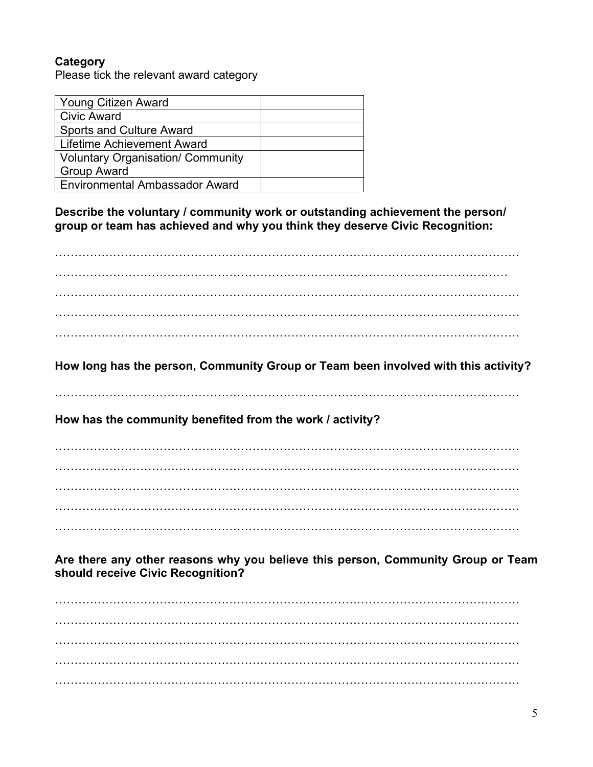# **Category**

Please tick the relevant award category

| <b>Young Citizen Award</b>               |  |
|------------------------------------------|--|
| <b>Civic Award</b>                       |  |
| <b>Sports and Culture Award</b>          |  |
| Lifetime Achievement Award               |  |
| <b>Voluntary Organisation/ Community</b> |  |
| <b>Group Award</b>                       |  |
| Environmental Ambassador Award           |  |

**Describe the voluntary / community work or outstanding achievement the person/ group or team has achieved and why you think they deserve Civic Recognition:**

………………………………………………………………………………………………………… ……………………………………………………………………………………………………… ………………………………………………………………………………………………………… ………………………………………………………………………………………………………… . The contract of the contract of the contract of the contract of the contract of the contract of the contract of the contract of the contract of the contract of the contract of the contract of the contract of the contrac

**How long has the person, Community Group or Team been involved with this activity?**

…………………………………………………………………………………………………………

**How has the community benefited from the work / activity?**

………………………………………………………………………………………………………… . The contract of the contract of the contract of the contract of the contract of the contract of the contract of the contract of the contract of the contract of the contract of the contract of the contract of the contrac ………………………………………………………………………………………………………… ………………………………………………………………………………………………………… …………………………………………………………………………………………………………

**Are there any other reasons why you believe this person, Community Group or Team should receive Civic Recognition?**

. The contract of the contract of the contract of the contract of the contract of the contract of the contract of the contract of the contract of the contract of the contract of the contract of the contract of the contrac ………………………………………………………………………………………………………… ………………………………………………………………………………………………………… ………………………………………………………………………………………………………… …………………………………………………………………………………………………………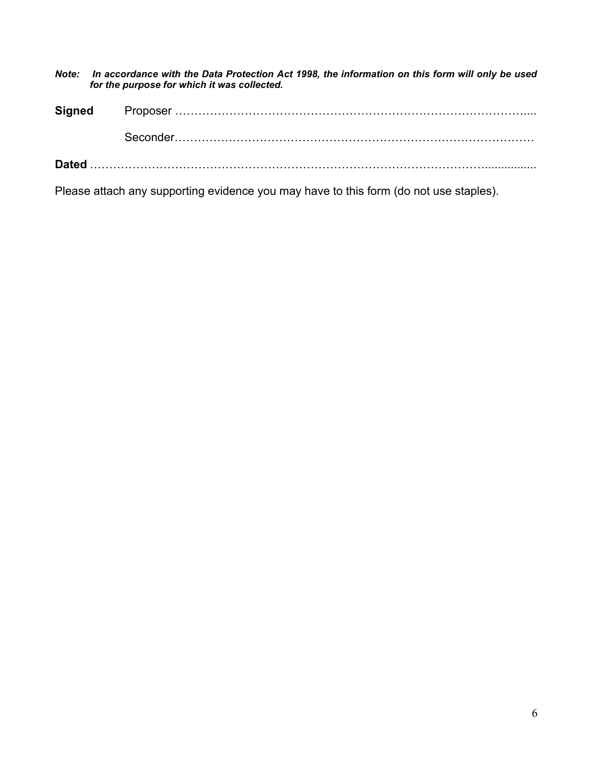*Note: In accordance with the Data Protection Act 1998, the information on this form will only be used for the purpose for which it was collected.*

**Signed** Proposer ……………………………………………………………………………….... Seconder…………………………………………………………………………………

**Dated** …………………………………………………………………………………………................

Please attach any supporting evidence you may have to this form (do not use staples).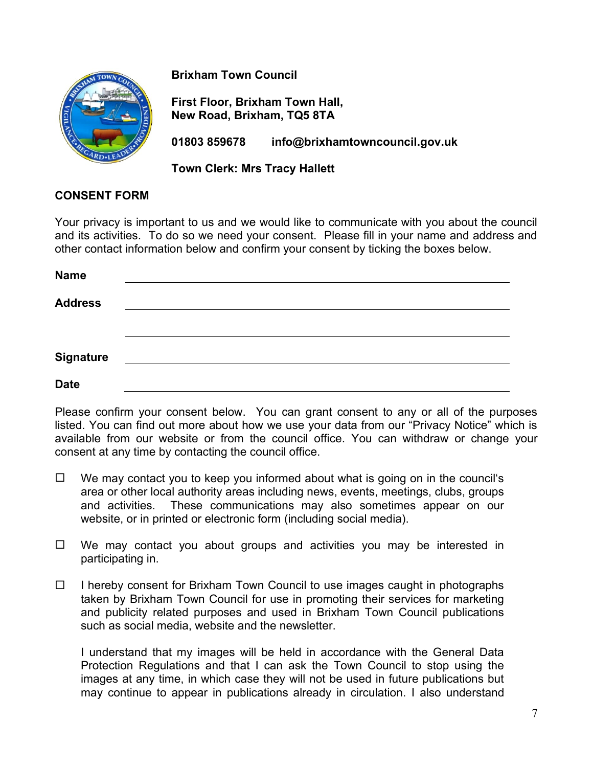

**Brixham Town Council**

**First Floor, Brixham Town Hall, New Road, Brixham, TQ5 8TA**

**01803 859678 info@brixhamtowncouncil.gov.uk**

**Town Clerk: Mrs Tracy Hallett**

#### **CONSENT FORM**

Your privacy is important to us and we would like to communicate with you about the council and its activities. To do so we need your consent. Please fill in your name and address and other contact information below and confirm your consent by ticking the boxes below.

| <b>Name</b>      |  |  |  |
|------------------|--|--|--|
| <b>Address</b>   |  |  |  |
|                  |  |  |  |
|                  |  |  |  |
| <b>Signature</b> |  |  |  |
| <b>Date</b>      |  |  |  |

Please confirm your consent below. You can grant consent to any or all of the purposes listed. You can find out more about how we use your data from our "Privacy Notice" which is available from our website or from the council office. You can withdraw or change your consent at any time by contacting the council office.

- $\Box$  We may contact you to keep you informed about what is going on in the council's area or other local authority areas including news, events, meetings, clubs, groups and activities. These communications may also sometimes appear on our website, or in printed or electronic form (including social media).
- $\Box$  We may contact you about groups and activities you may be interested in participating in.
- $\Box$  I hereby consent for Brixham Town Council to use images caught in photographs taken by Brixham Town Council for use in promoting their services for marketing and publicity related purposes and used in Brixham Town Council publications such as social media, website and the newsletter.

I understand that my images will be held in accordance with the General Data Protection Regulations and that I can ask the Town Council to stop using the images at any time, in which case they will not be used in future publications but may continue to appear in publications already in circulation. I also understand